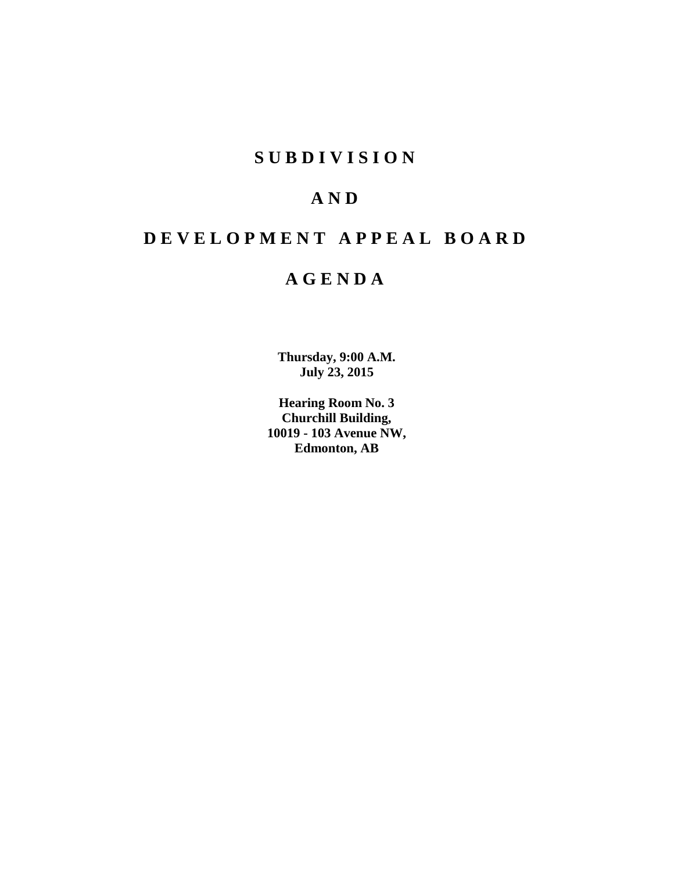## **SUBDIVISION**

# **AND**

# **DEVELOPMENT APPEAL BOARD**

## **AGENDA**

**Thursday, 9:00 A.M. July 23, 2015**

**Hearing Room No. 3 Churchill Building, 10019 - 103 Avenue NW, Edmonton, AB**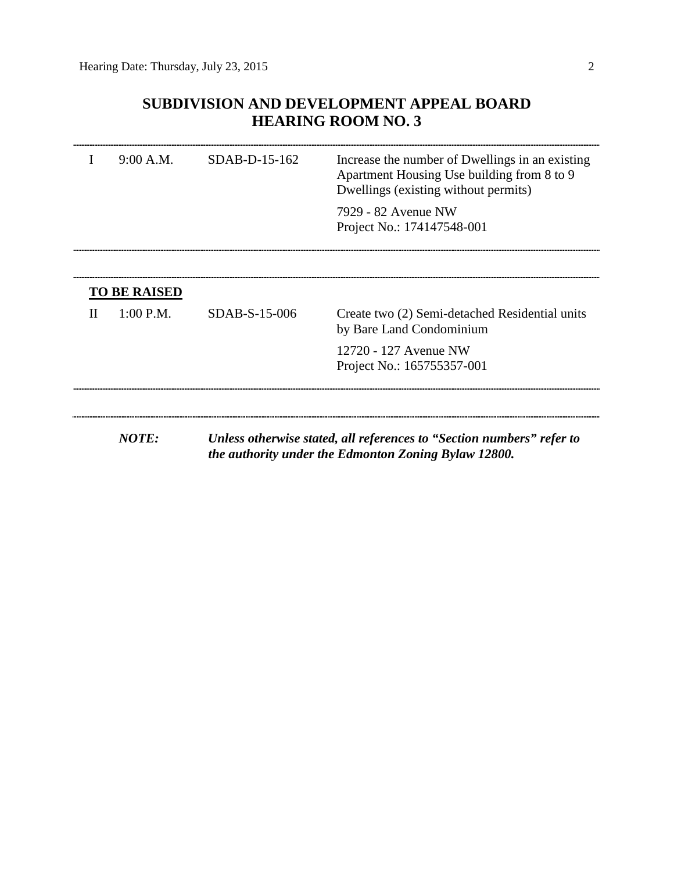## **SUBDIVISION AND DEVELOPMENT APPEAL BOARD HEARING ROOM NO. 3**

|   | 9:00 A.M.                          | $SDAB-D-15-162$ | Increase the number of Dwellings in an existing<br>Apartment Housing Use building from 8 to 9<br>Dwellings (existing without permits) |
|---|------------------------------------|-----------------|---------------------------------------------------------------------------------------------------------------------------------------|
|   |                                    |                 | 7929 - 82 Avenue NW<br>Project No.: 174147548-001                                                                                     |
| H | <b>TO BE RAISED</b><br>$1:00$ P.M. | SDAB-S-15-006   | Create two (2) Semi-detached Residential units<br>by Bare Land Condominium                                                            |
|   |                                    |                 | 12720 - 127 Avenue NW<br>Project No.: 165755357-001                                                                                   |
|   | <b>NOTE:</b>                       |                 | Unless otherwise stated, all references to "Section numbers" refer to<br>the authority under the Edmonton Zoning Bylaw 12800.         |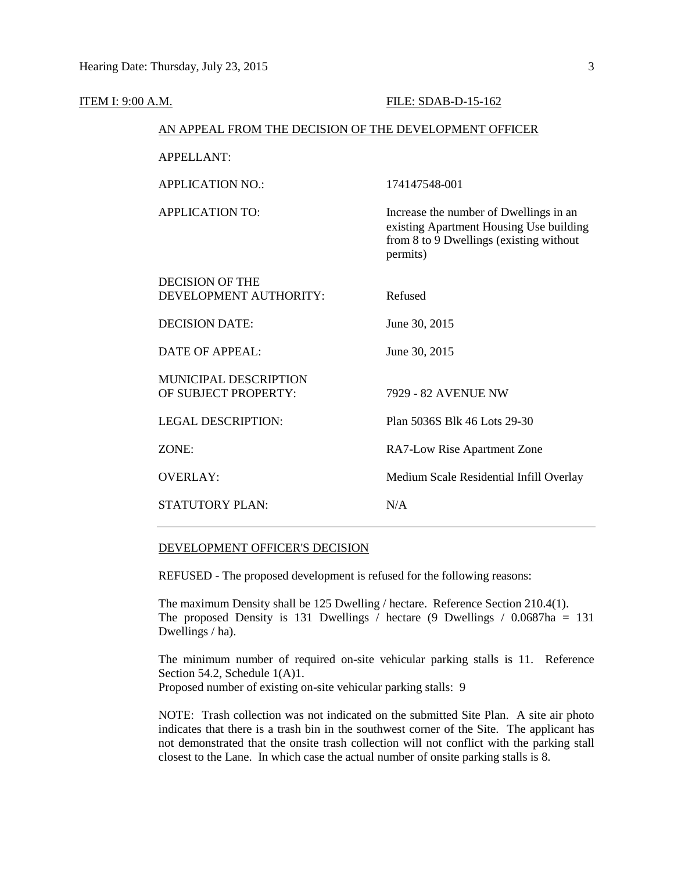| FILE: SDAB-D-15-162                                                                                                                      |  |
|------------------------------------------------------------------------------------------------------------------------------------------|--|
| AN APPEAL FROM THE DECISION OF THE DEVELOPMENT OFFICER                                                                                   |  |
|                                                                                                                                          |  |
| 174147548-001                                                                                                                            |  |
| Increase the number of Dwellings in an<br>existing Apartment Housing Use building<br>from 8 to 9 Dwellings (existing without<br>permits) |  |
| Refused                                                                                                                                  |  |
| June 30, 2015                                                                                                                            |  |
| June 30, 2015                                                                                                                            |  |
| 7929 - 82 AVENUE NW                                                                                                                      |  |
| Plan 5036S Blk 46 Lots 29-30                                                                                                             |  |
| RA7-Low Rise Apartment Zone                                                                                                              |  |
| Medium Scale Residential Infill Overlay                                                                                                  |  |
| N/A                                                                                                                                      |  |
|                                                                                                                                          |  |

### DEVELOPMENT OFFICER'S DECISION

REFUSED - The proposed development is refused for the following reasons:

The maximum Density shall be 125 Dwelling / hectare. Reference Section 210.4(1). The proposed Density is 131 Dwellings / hectare  $(9 \text{ Dwellings} / 0.0687 \text{ha} = 131$ Dwellings / ha).

The minimum number of required on-site vehicular parking stalls is 11. Reference Section 54.2, Schedule  $1(A)1$ . Proposed number of existing on-site vehicular parking stalls: 9

NOTE: Trash collection was not indicated on the submitted Site Plan. A site air photo indicates that there is a trash bin in the southwest corner of the Site. The applicant has not demonstrated that the onsite trash collection will not conflict with the parking stall closest to the Lane. In which case the actual number of onsite parking stalls is 8.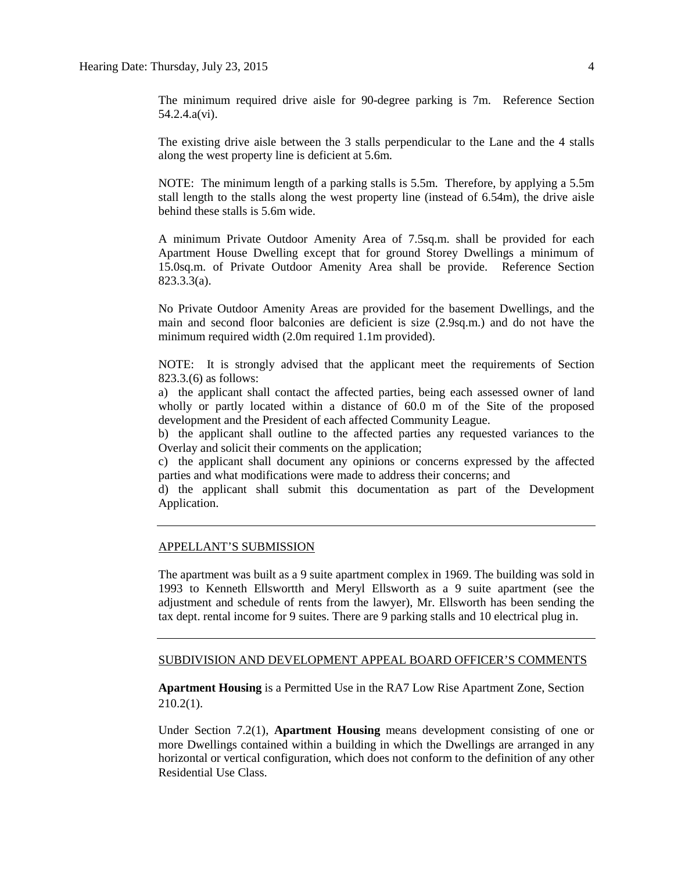The minimum required drive aisle for 90-degree parking is 7m. Reference Section 54.2.4.a(vi).

The existing drive aisle between the 3 stalls perpendicular to the Lane and the 4 stalls along the west property line is deficient at 5.6m.

NOTE: The minimum length of a parking stalls is 5.5m. Therefore, by applying a 5.5m stall length to the stalls along the west property line (instead of 6.54m), the drive aisle behind these stalls is 5.6m wide.

A minimum Private Outdoor Amenity Area of 7.5sq.m. shall be provided for each Apartment House Dwelling except that for ground Storey Dwellings a minimum of 15.0sq.m. of Private Outdoor Amenity Area shall be provide. Reference Section 823.3.3(a).

No Private Outdoor Amenity Areas are provided for the basement Dwellings, and the main and second floor balconies are deficient is size (2.9sq.m.) and do not have the minimum required width (2.0m required 1.1m provided).

NOTE: It is strongly advised that the applicant meet the requirements of Section 823.3.(6) as follows:

a) the applicant shall contact the affected parties, being each assessed owner of land wholly or partly located within a distance of 60.0 m of the Site of the proposed development and the President of each affected Community League.

b) the applicant shall outline to the affected parties any requested variances to the Overlay and solicit their comments on the application;

c) the applicant shall document any opinions or concerns expressed by the affected parties and what modifications were made to address their concerns; and

d) the applicant shall submit this documentation as part of the Development Application.

### APPELLANT'S SUBMISSION

The apartment was built as a 9 suite apartment complex in 1969. The building was sold in 1993 to Kenneth Ellswortth and Meryl Ellsworth as a 9 suite apartment (see the adjustment and schedule of rents from the lawyer), Mr. Ellsworth has been sending the tax dept. rental income for 9 suites. There are 9 parking stalls and 10 electrical plug in.

#### SUBDIVISION AND DEVELOPMENT APPEAL BOARD OFFICER'S COMMENTS

**Apartment Housing** is a Permitted Use in the RA7 Low Rise Apartment Zone, Section 210.2(1).

Under Section 7.2(1), **Apartment Housing** means development consisting of one or more Dwellings contained within a building in which the Dwellings are arranged in any horizontal or vertical configuration, which does not conform to the definition of any other Residential Use Class.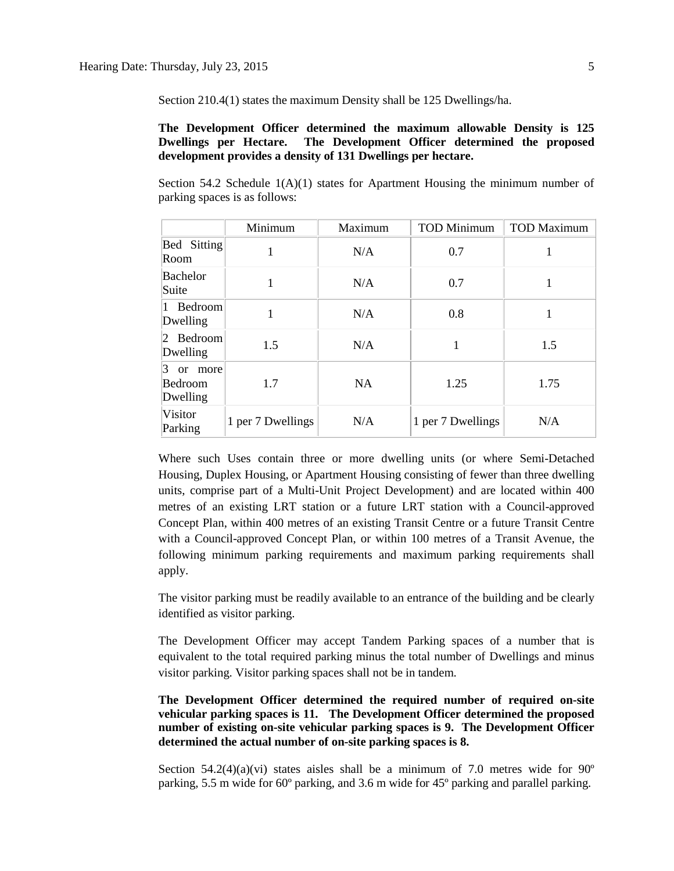Section 210.4(1) states the maximum Density shall be 125 Dwellings/ha.

### **The Development Officer determined the maximum allowable Density is 125 Dwellings per Hectare. The Development Officer determined the proposed development provides a density of 131 Dwellings per hectare.**

Section 54.2 Schedule  $1(A)(1)$  states for Apartment Housing the minimum number of parking spaces is as follows:

|                                                   | Minimum           | Maximum   | <b>TOD Minimum</b> | <b>TOD Maximum</b> |
|---------------------------------------------------|-------------------|-----------|--------------------|--------------------|
| Bed Sitting<br>Room                               |                   | N/A       | 0.7                |                    |
| Bachelor<br>Suite                                 |                   | N/A       | 0.7                | 1                  |
| Bedroom<br>1<br>Dwelling                          |                   | N/A       | 0.8                |                    |
| $\vert 2 \vert$ Bedroom<br>Dwelling               | 1.5               | N/A       |                    | 1.5                |
| 3<br><sub>or</sub><br>more<br>Bedroom<br>Dwelling | 1.7               | <b>NA</b> | 1.25               | 1.75               |
| Visitor<br>Parking                                | 1 per 7 Dwellings | N/A       | 1 per 7 Dwellings  | N/A                |

Where such Uses contain three or more dwelling units (or where Semi-Detached Housing, Duplex Housing, or Apartment Housing consisting of fewer than three dwelling units, comprise part of a Multi-Unit Project Development) and are located within 400 metres of an existing LRT station or a future LRT station with a Council-approved Concept Plan, within 400 metres of an existing Transit Centre or a future Transit Centre with a Council-approved Concept Plan, or within 100 metres of a Transit Avenue, the following minimum parking requirements and maximum parking requirements shall apply.

The visitor parking must be readily available to an entrance of the building and be clearly identified as visitor parking.

The Development Officer may accept Tandem Parking spaces of a number that is equivalent to the total required parking minus the total number of Dwellings and minus visitor parking. Visitor parking spaces shall not be in tandem.

**The Development Officer determined the required number of required on-site vehicular parking spaces is 11. The Development Officer determined the proposed number of existing on-site vehicular parking spaces is 9. The Development Officer determined the actual number of on-site parking spaces is 8.**

Section  $54.2(4)(a)(vi)$  states aisles shall be a minimum of 7.0 metres wide for  $90^{\circ}$ parking, [5.5 m](javascript:void(0);) wide for 60º parking, and [3.6 m](javascript:void(0);) wide for 45º parking and parallel parking.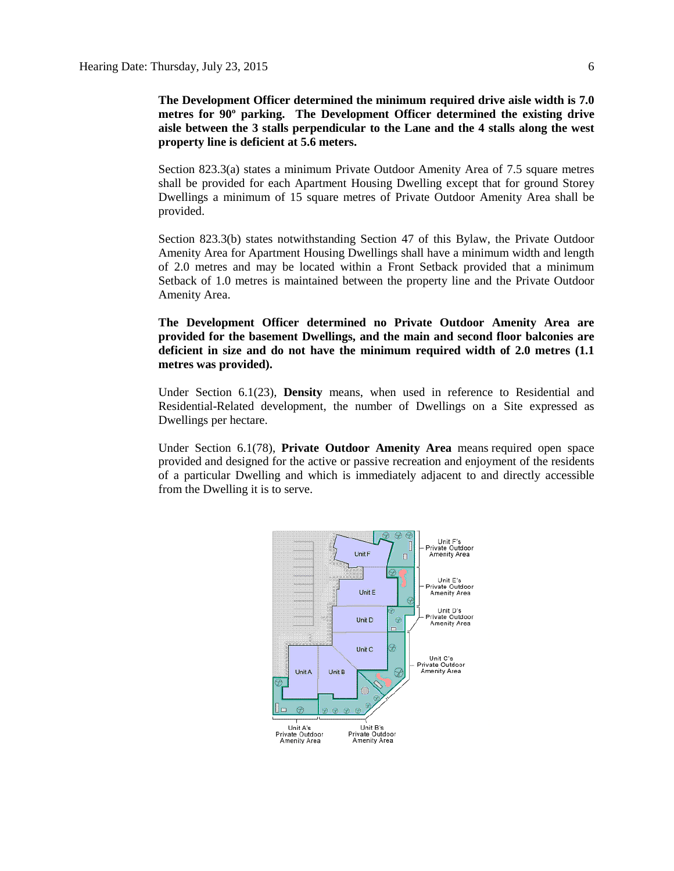**The Development Officer determined the minimum required drive aisle width is 7.0 metres for 90º parking. The Development Officer determined the existing drive aisle between the 3 stalls perpendicular to the Lane and the 4 stalls along the west property line is deficient at 5.6 meters.**

Section 823.3(a) states a minimum Private Outdoor Amenity Area of 7.5 square metres shall be provided for each Apartment Housing Dwelling except that for ground Storey Dwellings a minimum of 15 square metres of Private Outdoor Amenity Area shall be provided.

Section 823.3(b) states notwithstanding Section 47 of this Bylaw, the Private Outdoor Amenity Area for Apartment Housing Dwellings shall have a minimum width and length of 2.0 metres and may be located within a Front Setback provided that a minimum Setback of 1.0 metres is maintained between the property line and the Private Outdoor Amenity Area.

**The Development Officer determined no Private Outdoor Amenity Area are provided for the basement Dwellings, and the main and second floor balconies are deficient in size and do not have the minimum required width of 2.0 metres (1.1 metres was provided).**

Under Section 6.1(23), **Density** means, when used in reference to Residential and Residential-Related development, the number of Dwellings on a Site expressed as Dwellings per hectare.

Under Section 6.1(78), **Private Outdoor Amenity Area** means required open space provided and designed for the active or passive recreation and enjoyment of the residents of a particular Dwelling and which is immediately adjacent to and directly accessible from the Dwelling it is to serve.

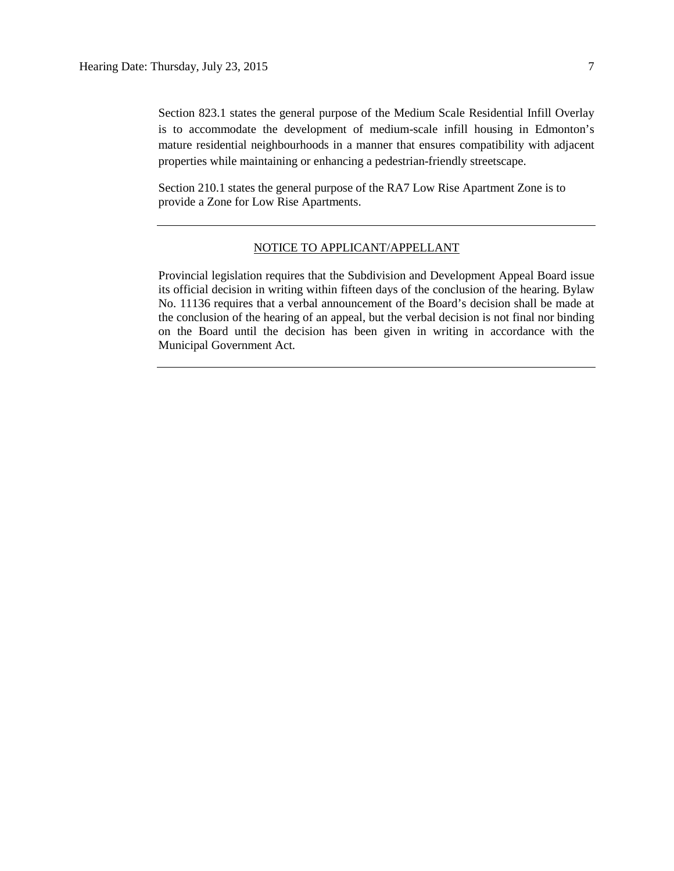Section 823.1 states the general purpose of the Medium Scale Residential Infill Overlay is to accommodate the development of medium-scale infill housing in Edmonton's mature residential neighbourhoods in a manner that ensures compatibility with adjacent properties while maintaining or enhancing a pedestrian-friendly streetscape.

Section 210.1 states the general purpose of the RA7 Low Rise Apartment Zone is to provide a Zone for Low Rise Apartments.

### NOTICE TO APPLICANT/APPELLANT

Provincial legislation requires that the Subdivision and Development Appeal Board issue its official decision in writing within fifteen days of the conclusion of the hearing. Bylaw No. 11136 requires that a verbal announcement of the Board's decision shall be made at the conclusion of the hearing of an appeal, but the verbal decision is not final nor binding on the Board until the decision has been given in writing in accordance with the Municipal Government Act.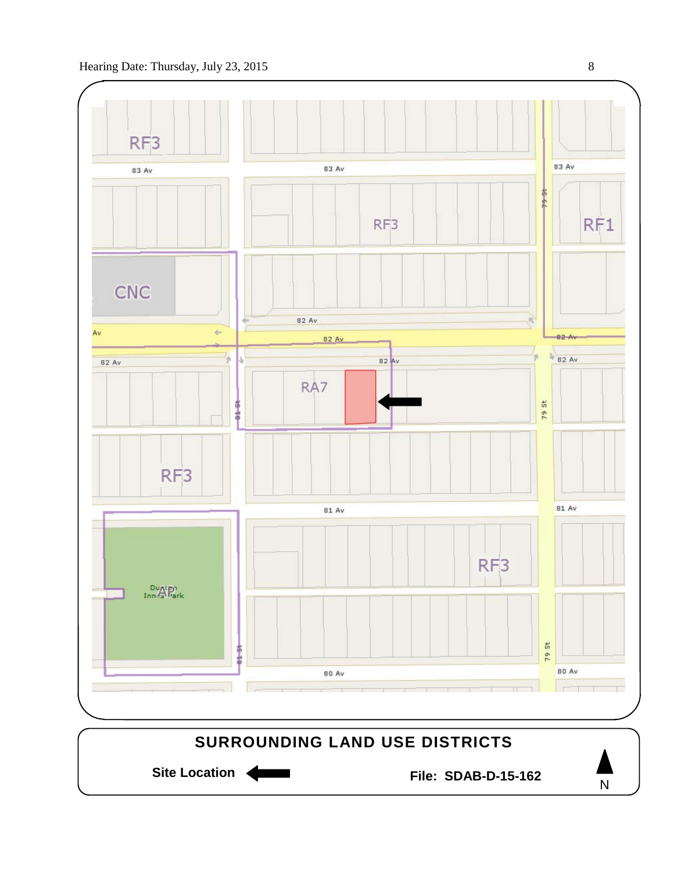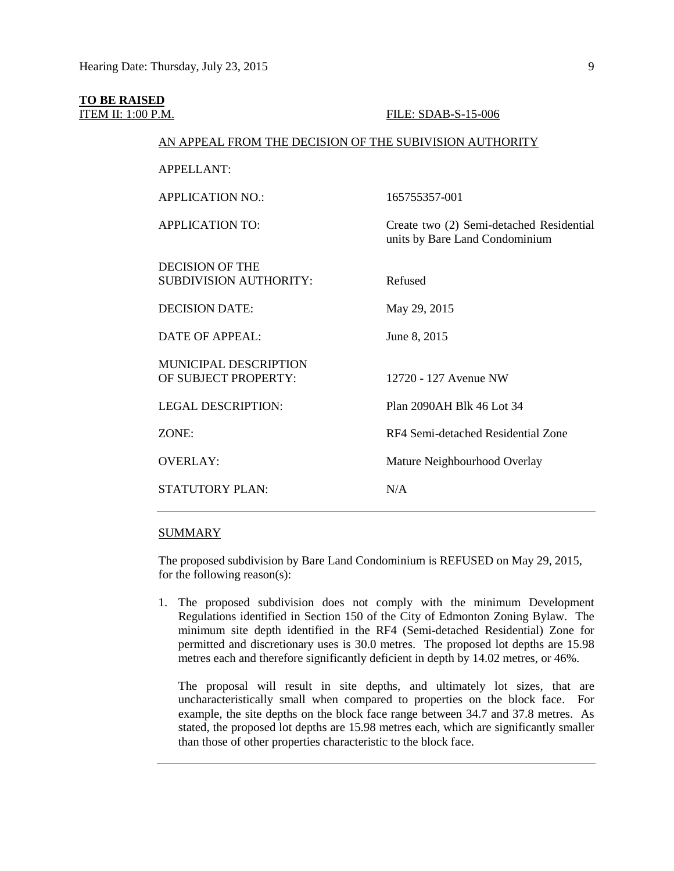# **TO BE RAISED**

#### ITEM II: 1:00 P.M. FILE: SDAB-S-15-006

# AN APPEAL FROM THE DECISION OF THE SUBIVISION AUTHORITY

| <b>APPELLANT:</b>             |                                                                            |
|-------------------------------|----------------------------------------------------------------------------|
| <b>APPLICATION NO.:</b>       | 165755357-001                                                              |
| <b>APPLICATION TO:</b>        | Create two (2) Semi-detached Residential<br>units by Bare Land Condominium |
| DECISION OF THE               |                                                                            |
| <b>SUBDIVISION AUTHORITY:</b> | Refused                                                                    |
| <b>DECISION DATE:</b>         | May 29, 2015                                                               |
| DATE OF APPEAL:               | June 8, 2015                                                               |
| MUNICIPAL DESCRIPTION         |                                                                            |
| OF SUBJECT PROPERTY:          | 12720 - 127 Avenue NW                                                      |
| <b>LEGAL DESCRIPTION:</b>     | Plan 2090AH Blk 46 Lot 34                                                  |
| ZONE:                         | RF4 Semi-detached Residential Zone                                         |
| <b>OVERLAY:</b>               | Mature Neighbourhood Overlay                                               |
| STATUTORY PLAN:               | N/A                                                                        |
|                               |                                                                            |

### **SUMMARY**

The proposed subdivision by Bare Land Condominium is REFUSED on May 29, 2015, for the following reason(s):

1. The proposed subdivision does not comply with the minimum Development Regulations identified in Section 150 of the City of Edmonton Zoning Bylaw. The minimum site depth identified in the RF4 (Semi-detached Residential) Zone for permitted and discretionary uses is 30.0 metres. The proposed lot depths are 15.98 metres each and therefore significantly deficient in depth by 14.02 metres, or 46%.

The proposal will result in site depths, and ultimately lot sizes, that are uncharacteristically small when compared to properties on the block face. For example, the site depths on the block face range between 34.7 and 37.8 metres. As stated, the proposed lot depths are 15.98 metres each, which are significantly smaller than those of other properties characteristic to the block face.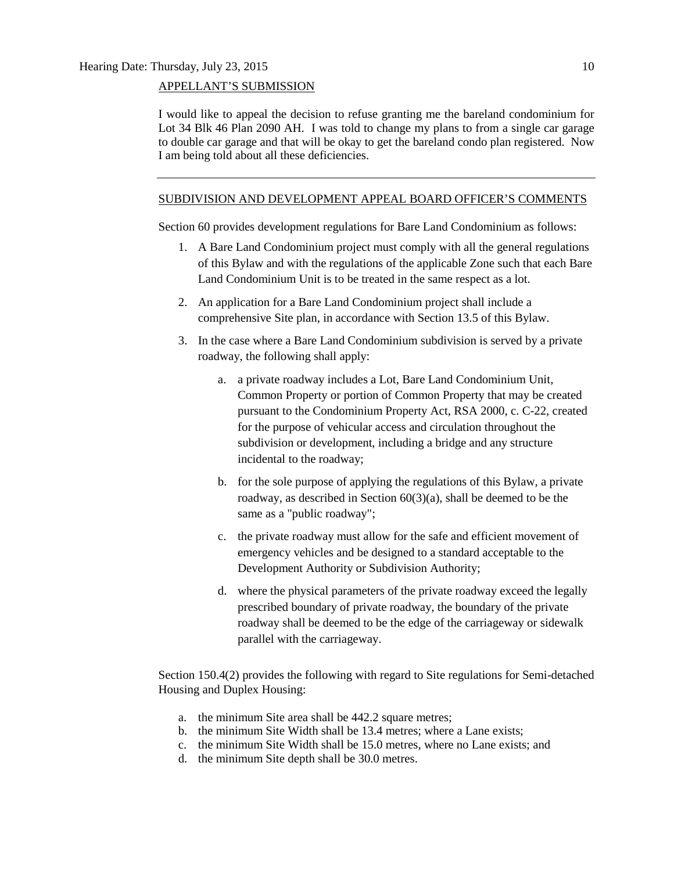### APPELLANT'S SUBMISSION

I would like to appeal the decision to refuse granting me the bareland condominium for Lot 34 Blk 46 Plan 2090 AH. I was told to change my plans to from a single car garage to double car garage and that will be okay to get the bareland condo plan registered. Now I am being told about all these deficiencies.

### SUBDIVISION AND DEVELOPMENT APPEAL BOARD OFFICER'S COMMENTS

Section 60 provides development regulations for Bare Land Condominium as follows:

- 1. A Bare Land Condominium project must comply with all the general regulations of this Bylaw and with the regulations of the applicable Zone such that each Bare Land Condominium Unit is to be treated in the same respect as a lot.
- 2. An application for a Bare Land Condominium project shall include a comprehensive Site plan, in accordance with Section 13.5 of this Bylaw.
- 3. In the case where a Bare Land Condominium subdivision is served by a private roadway, the following shall apply:
	- a. a private roadway includes a Lot, Bare Land Condominium Unit, Common Property or portion of Common Property that may be created pursuant to the Condominium Property Act, RSA 2000, c. C-22, created for the purpose of vehicular access and circulation throughout the subdivision or development, including a bridge and any structure incidental to the roadway;
	- b. for the sole purpose of applying the regulations of this Bylaw, a private roadway, as described in Section 60(3)(a), shall be deemed to be the same as a "public roadway";
	- c. the private roadway must allow for the safe and efficient movement of emergency vehicles and be designed to a standard acceptable to the Development Authority or Subdivision Authority;
	- d. where the physical parameters of the private roadway exceed the legally prescribed boundary of private roadway, the boundary of the private roadway shall be deemed to be the edge of the carriageway or sidewalk parallel with the carriageway.

Section 150.4(2) provides the following with regard to Site regulations for Semi-detached Housing and Duplex Housing:

- a. the minimum Site area shall be [442.2 square me](javascript:void(0);)tres;
- b. the minimum Site Width shall be [13.4 me](javascript:void(0);)tres; where a Lane exists;
- c. the minimum Site Width shall be 15.0 metres, where no Lane exists; and
- d. the minimum Site depth shall be [30.0](javascript:void(0);) metres.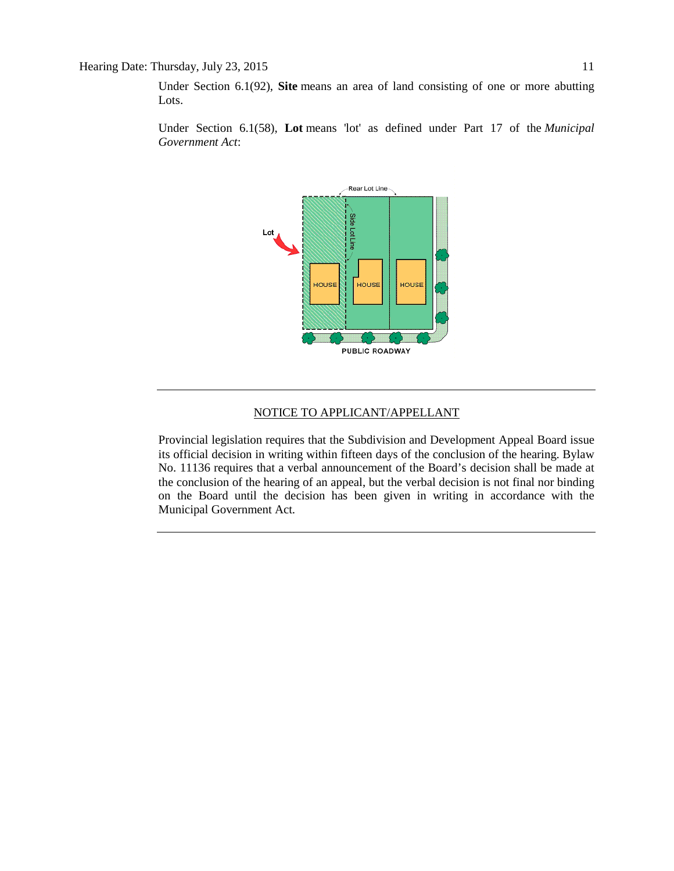Under Section 6.1(92), **Site** means an area of land consisting of one or more abutting Lots.

Under Section 6.1(58), **Lot** means 'lot' as defined under Part 17 of the *Municipal Government Act*:



### NOTICE TO APPLICANT/APPELLANT

Provincial legislation requires that the Subdivision and Development Appeal Board issue its official decision in writing within fifteen days of the conclusion of the hearing. Bylaw No. 11136 requires that a verbal announcement of the Board's decision shall be made at the conclusion of the hearing of an appeal, but the verbal decision is not final nor binding on the Board until the decision has been given in writing in accordance with the Municipal Government Act.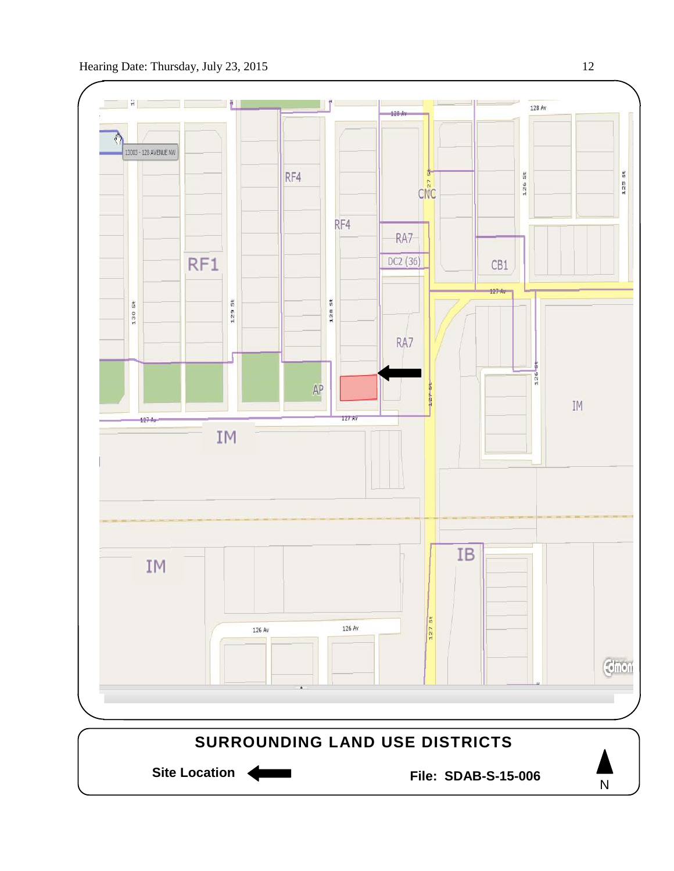